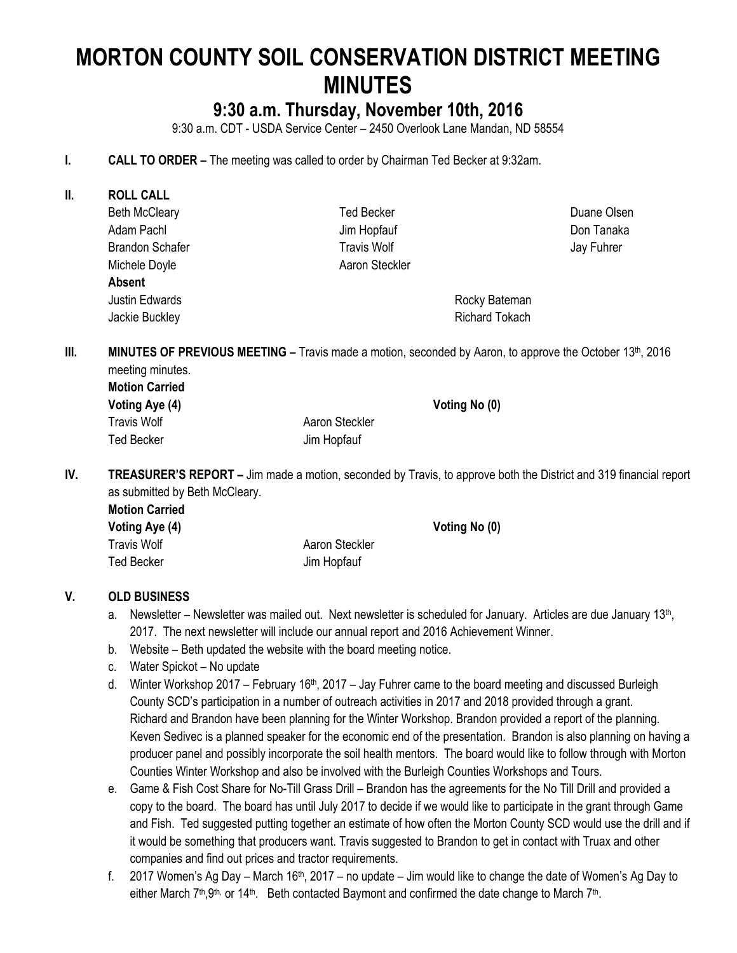# **MORTON COUNTY SOIL CONSERVATION DISTRICT MEETING MINUTES**

## **9:30 a.m. Thursday, November 10th, 2016**

9:30 a.m. CDT - USDA Service Center – 2450 Overlook Lane Mandan, ND 58554

- **I. CALL TO ORDER –** The meeting was called to order by Chairman Ted Becker at 9:32am.
- **II. ROLL CALL** Beth McCleary Adam Pachl Brandon Schafer Michele Doyle Ted Becker Jim Hopfauf Travis Wolf Aaron Steckler Duane Olsen Don Tanaka Jay Fuhrer **Absent** Justin Edwards Jackie Buckley Rocky Bateman Richard Tokach **III. MINUTES OF PREVIOUS MEETING** – Travis made a motion, seconded by Aaron, to approve the October 13th, 2016

meeting minutes. **Motion Carried**

| Voting Aye (4)     |                | Voting No (0) |
|--------------------|----------------|---------------|
| <b>Travis Wolf</b> | Aaron Steckler |               |
| <b>Ted Becker</b>  | Jim Hopfauf    |               |

**IV. TREASURER'S REPORT –** Jim made a motion, seconded by Travis, to approve both the District and 319 financial report as submitted by Beth McCleary.

| <b>Motion Carried</b> |                |
|-----------------------|----------------|
| Voting Aye (4)        | Voting No (0)  |
| Travis Wolf           | Aaron Steckler |
| Ted Becker            | Jim Hopfauf    |

#### **V. OLD BUSINESS**

- a. Newsletter Newsletter was mailed out. Next newsletter is scheduled for January. Articles are due January 13<sup>th</sup>, 2017. The next newsletter will include our annual report and 2016 Achievement Winner.
- b. Website Beth updated the website with the board meeting notice.
- c. Water Spickot No update
- d. Winter Workshop 2017 February 16<sup>th</sup>, 2017 Jay Fuhrer came to the board meeting and discussed Burleigh County SCD's participation in a number of outreach activities in 2017 and 2018 provided through a grant. Richard and Brandon have been planning for the Winter Workshop. Brandon provided a report of the planning. Keven Sedivec is a planned speaker for the economic end of the presentation. Brandon is also planning on having a producer panel and possibly incorporate the soil health mentors. The board would like to follow through with Morton Counties Winter Workshop and also be involved with the Burleigh Counties Workshops and Tours.
- e. Game & Fish Cost Share for No-Till Grass Drill Brandon has the agreements for the No Till Drill and provided a copy to the board. The board has until July 2017 to decide if we would like to participate in the grant through Game and Fish. Ted suggested putting together an estimate of how often the Morton County SCD would use the drill and if it would be something that producers want. Travis suggested to Brandon to get in contact with Truax and other companies and find out prices and tractor requirements.
- f. 2017 Women's Ag Day March 16<sup>th</sup>, 2017 no update Jim would like to change the date of Women's Ag Day to either March 7<sup>th</sup>, 9<sup>th,</sup> or 14<sup>th</sup>. Beth contacted Baymont and confirmed the date change to March 7<sup>th</sup>.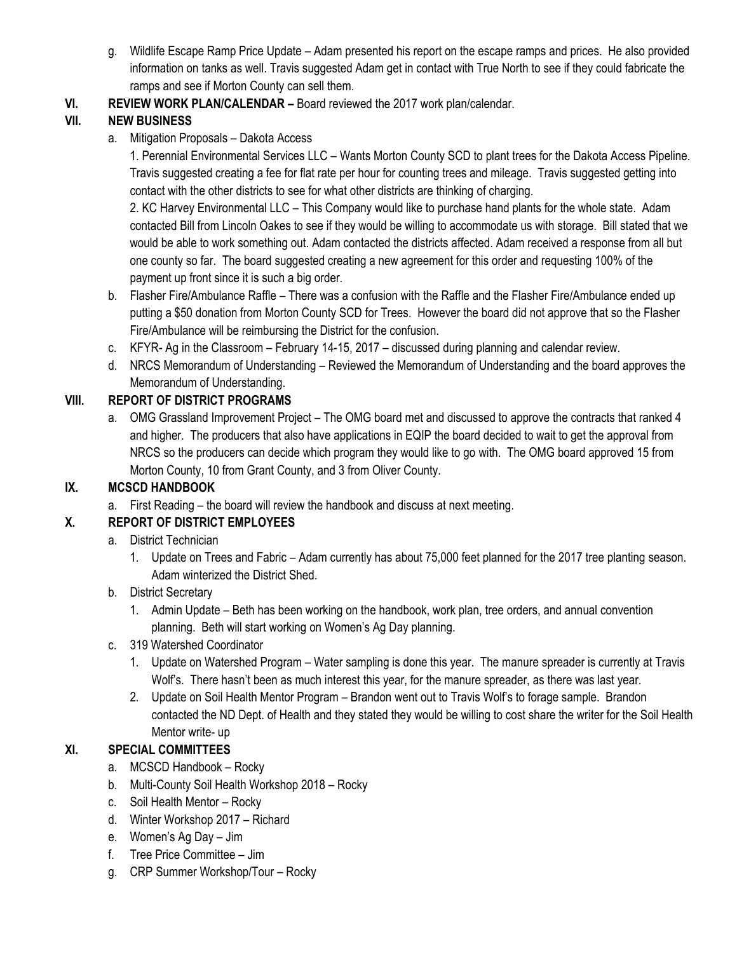- g. Wildlife Escape Ramp Price Update Adam presented his report on the escape ramps and prices. He also provided information on tanks as well. Travis suggested Adam get in contact with True North to see if they could fabricate the ramps and see if Morton County can sell them.
- **VI. REVIEW WORK PLAN/CALENDAR –** Board reviewed the 2017 work plan/calendar.

## **VII. NEW BUSINESS**

a. Mitigation Proposals – Dakota Access

1. Perennial Environmental Services LLC – Wants Morton County SCD to plant trees for the Dakota Access Pipeline. Travis suggested creating a fee for flat rate per hour for counting trees and mileage. Travis suggested getting into contact with the other districts to see for what other districts are thinking of charging.

2. KC Harvey Environmental LLC – This Company would like to purchase hand plants for the whole state. Adam contacted Bill from Lincoln Oakes to see if they would be willing to accommodate us with storage. Bill stated that we would be able to work something out. Adam contacted the districts affected. Adam received a response from all but one county so far. The board suggested creating a new agreement for this order and requesting 100% of the payment up front since it is such a big order.

- b. Flasher Fire/Ambulance Raffle There was a confusion with the Raffle and the Flasher Fire/Ambulance ended up putting a \$50 donation from Morton County SCD for Trees. However the board did not approve that so the Flasher Fire/Ambulance will be reimbursing the District for the confusion.
- c. KFYR- Ag in the Classroom February 14-15, 2017 discussed during planning and calendar review.
- d. NRCS Memorandum of Understanding Reviewed the Memorandum of Understanding and the board approves the Memorandum of Understanding.

## **VIII. REPORT OF DISTRICT PROGRAMS**

a. OMG Grassland Improvement Project – The OMG board met and discussed to approve the contracts that ranked 4 and higher. The producers that also have applications in EQIP the board decided to wait to get the approval from NRCS so the producers can decide which program they would like to go with. The OMG board approved 15 from Morton County, 10 from Grant County, and 3 from Oliver County.

## **IX. MCSCD HANDBOOK**

a. First Reading – the board will review the handbook and discuss at next meeting.

## **X. REPORT OF DISTRICT EMPLOYEES**

- a. District Technician
	- 1. Update on Trees and Fabric Adam currently has about 75,000 feet planned for the 2017 tree planting season. Adam winterized the District Shed.
- b. District Secretary
	- 1. Admin Update Beth has been working on the handbook, work plan, tree orders, and annual convention planning. Beth will start working on Women's Ag Day planning.
- c. 319 Watershed Coordinator
	- 1. Update on Watershed Program Water sampling is done this year. The manure spreader is currently at Travis Wolf's. There hasn't been as much interest this year, for the manure spreader, as there was last year.
	- 2. Update on Soil Health Mentor Program Brandon went out to Travis Wolf's to forage sample. Brandon contacted the ND Dept. of Health and they stated they would be willing to cost share the writer for the Soil Health Mentor write- up

## **XI. SPECIAL COMMITTEES**

- a. MCSCD Handbook Rocky
- b. Multi-County Soil Health Workshop 2018 Rocky
- c. Soil Health Mentor Rocky
- d. Winter Workshop 2017 Richard
- e. Women's Ag Day Jim
- f. Tree Price Committee Jim
- g. CRP Summer Workshop/Tour Rocky